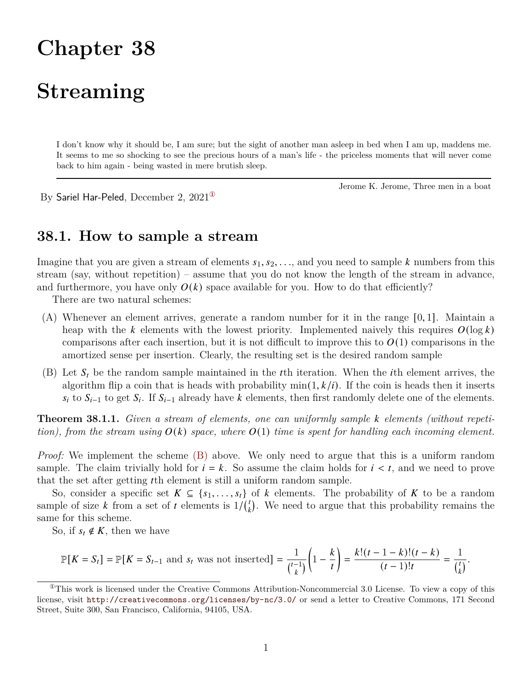# **Chapter 38**

## **Streaming**

I don't know why it should be, I am sure; but the sight of another man asleep in bed when I am up, maddens me. It seems to me so shocking to see the precious hours of a man's life - the priceless moments that will never come back to him again - being wasted in mere brutish sleep.

Jerome K. Jerome, Three men in a boat

By Sariel Har-Peled, December 2, 2021[①](#page-0-0)

## **38.1. How to sample a stream**

Imagine that you are given a stream of elements  $s_1, s_2, \ldots$ , and you need to sample k numbers from this stream (say, without repetition) – assume that you do not know the length of the stream in advance, and furthermore, you have only  $O(k)$  space available for you. How to do that efficiently?

There are two natural schemes:

- (A) Whenever an element arrives, generate a random number for it in the range [0, 1]. Maintain a heap with the k elements with the lowest priority. Implemented naively this requires  $O(\log k)$ comparisons after each insertion, but it is not difficult to improve this to  $O(1)$  comparisons in the amortized sense per insertion. Clearly, the resulting set is the desired random sample
- <span id="page-0-1"></span>(B) Let  $S_t$  be the random sample maintained in the the iteration. When the ith element arrives, the algorithm flip a coin that is heads with probability  $\min(1, k/i)$ . If the coin is heads then it inserts  $s_i$  to  $S_{i-1}$  to get  $S_i$ . If  $S_{i-1}$  already have k elements, then first randomly delete one of the elements.

<span id="page-0-2"></span>**Theorem 38.1.1.** *Given a stream of elements, one can uniformly sample elements (without repetition), from the stream using*  $O(k)$  *space, where*  $O(1)$  *time is spent for handling each incoming element.* 

*Proof:* We implement the scheme [\(B\)](#page-0-1) above. We only need to argue that this is a uniform random sample. The claim trivially hold for  $i = k$ . So assume the claim holds for  $i < t$ , and we need to prove that the set after getting th element is still a uniform random sample.

So, consider a specific set  $K \subseteq \{s_1, \ldots, s_t\}$  of k elements. The probability of K to be a random sample of size k from a set of t elements is  $1/(t)$  $\binom{t}{k}$ . We need to argue that this probability remains the same for this scheme.

So, if  $s_t \notin K$ , then we have

$$
\mathbb{P}[K = S_t] = \mathbb{P}[K = S_{t-1} \text{ and } s_t \text{ was not inserted}] = \frac{1}{\binom{t-1}{k}} \left(1 - \frac{k}{t}\right) = \frac{k!(t-1-k)!(t-k)}{(t-1)!t} = \frac{1}{\binom{t}{k}}.
$$

<span id="page-0-0"></span> ${}^{\circ}$ This work is licensed under the Creative Commons Attribution-Noncommercial 3.0 License. To view a copy of this license, visit <http://creativecommons.org/licenses/by-nc/3.0/> or send a letter to Creative Commons, 171 Second Street, Suite 300, San Francisco, California, 94105, USA.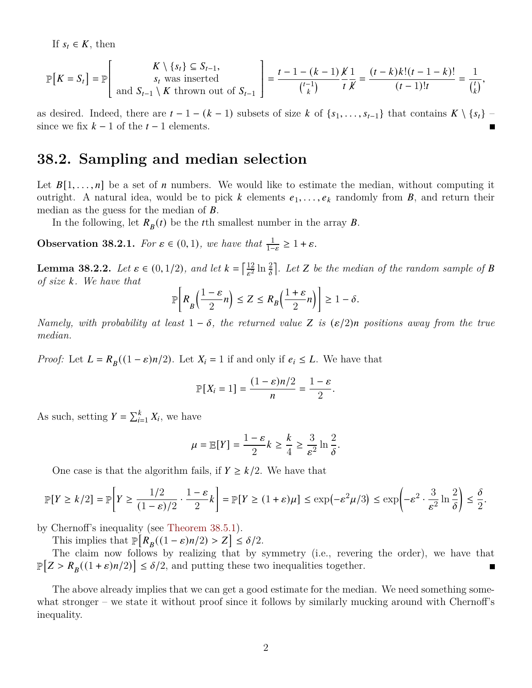If  $s_t \in K$ , then

$$
\mathbb{P}\left[K=S_t\right] = \mathbb{P}\left[\begin{array}{c}K\setminus\{s_t\} \subseteq S_{t-1}, \\ s_t \text{ was inserted} \\ \text{and } S_{t-1}\setminus K \text{ thrown out of } S_{t-1}\end{array}\right] = \frac{t-1-(k-1)\cancel{K}}{\binom{t-1}{k}}\frac{t}{t}\frac{1}{K} = \frac{(t-k)k!(t-1-k)!}{(t-1)!t} = \frac{1}{\binom{t}{k}},
$$

as desired. Indeed, there are  $t-1-(k-1)$  subsets of size k of  $\{s_1,\ldots,s_{t-1}\}\$  that contains  $K\setminus\{s_t\}$ since we fix  $k - 1$  of the  $t - 1$  elements.  $\blacksquare$ 

### **38.2. Sampling and median selection**

Let  $B[1, \ldots, n]$  be a set of *n* numbers. We would like to estimate the median, without computing it outright. A natural idea, would be to pick k elements  $e_1, \ldots, e_k$  randomly from  $B$ , and return their median as the guess for the median of  $B$ .

In the following, let  $R_B(t)$  be the *t*<sup>th</sup> smallest number in the array *B*.

**Observation 38.2.1.** *For*  $\varepsilon \in (0,1)$ *, we have that*  $\frac{1}{1-\varepsilon} \geq 1+\varepsilon$ *.* 

**Lemma 38.2.2.** Let  $\boldsymbol{\varepsilon} \in (0, 1/2)$ , and let  $k = \left[\frac{12}{\varepsilon^2} \ln \frac{2}{\delta}\right]$ . Let Z be the median of the random sample of B *of size . We have that*

$$
\mathbb{P}\bigg[R\bigg(\frac{1-\varepsilon}{2}n\bigg) \le Z \le R_B\bigg(\frac{1+\varepsilon}{2}n\bigg)\bigg] \ge 1-\delta.
$$

*Namely, with probability at least*  $1 - \delta$ , the returned value Z is  $(\varepsilon/2)n$  positions away from the true *median.*

*Proof:* Let  $L = R_B((1 - \varepsilon)n/2)$ . Let  $X_i = 1$  if and only if  $e_i \leq L$ . We have that

$$
\mathbb{P}[X_i = 1] = \frac{(1 - \varepsilon)n/2}{n} = \frac{1 - \varepsilon}{2}.
$$

As such, setting  $Y = \sum_{i=1}^{k} X_i$ , we have

$$
\mu = \mathbb{E}[Y] = \frac{1-\varepsilon}{2}k \ge \frac{k}{4} \ge \frac{3}{\varepsilon^2} \ln \frac{2}{\delta}.
$$

One case is that the algorithm fails, if  $Y \geq k/2$ . We have that

$$
\mathbb{P}[Y \geq k/2] = \mathbb{P}\left[Y \geq \frac{1/2}{(1-\varepsilon)/2} \cdot \frac{1-\varepsilon}{2}k\right] = \mathbb{P}[Y \geq (1+\varepsilon)\mu] \leq \exp\left(-\varepsilon^2 \mu/3\right) \leq \exp\left(-\varepsilon^2 \cdot \frac{3}{\varepsilon^2} \ln \frac{2}{\delta}\right) \leq \frac{\delta}{2}.
$$

by Chernoff's inequality (see [Theorem 38.5.1\)](#page-3-0).

This implies that  $\mathbb{P}\big[R_B((1-\varepsilon)n/2) > Z\big] \leq \delta/2$ .

The claim now follows by realizing that by symmetry (i.e., revering the order), we have that  $\mathbb{P}[Z > R_B((1+\varepsilon)n/2)] \le \delta/2$ , and putting these two inequalities together.

<span id="page-1-0"></span>The above already implies that we can get a good estimate for the median. We need something somewhat stronger – we state it without proof since it follows by similarly mucking around with Chernoff's inequality.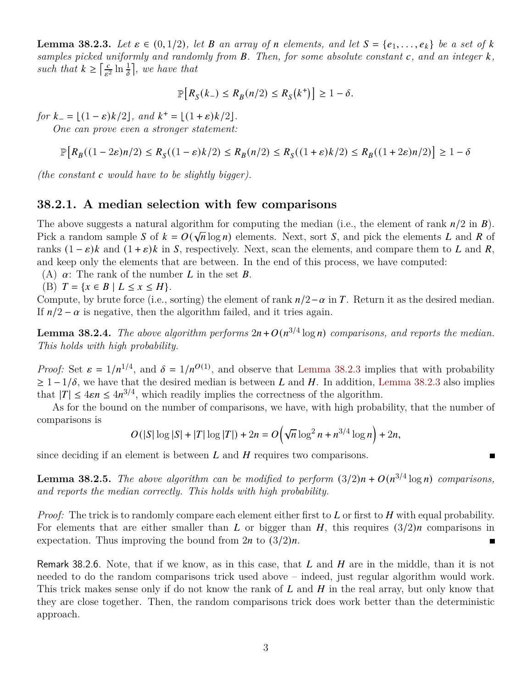**Lemma 38.2.3.** Let  $\varepsilon \in (0, 1/2)$ , let B an array of n elements, and let  $S = \{e_1, \ldots, e_k\}$  be a set of k *samples picked uniformly and randomly from B. Then, for some absolute constant*  $c$ , and an integer  $k$ , *such that*  $k \geq \left\lceil \frac{c}{c^2} \right\rceil$  $\frac{c}{\varepsilon^2} \ln \frac{1}{\delta}$ , we have that

$$
\mathbb{P}\big[R_S(k_-) \le R_B(n/2) \le R_S(k^+)\big] \ge 1 - \delta.
$$

 $for k = \lfloor (1 - \varepsilon)k/2 \rfloor, and k^+ = \lfloor (1 + \varepsilon)k/2 \rfloor.$ 

*One can prove even a stronger statement:*

$$
\mathbb{P}\Big[R_B((1-2\varepsilon)n/2) \leq R_S((1-\varepsilon)k/2) \leq R_B(n/2) \leq R_S((1+\varepsilon)k/2) \leq R_B((1+2\varepsilon)n/2)\Big] \geq 1-\delta
$$

*(the constant would have to be slightly bigger).*

#### **38.2.1. A median selection with few comparisons**

The above suggests a natural algorithm for computing the median (i.e., the element of rank  $n/2$  in  $\vec{B}$ ). Pick a random sample S of  $k = O(\sqrt{n}\log n)$  elements. Next, sort S, and pick the elements L and R of ranks  $(1 - \varepsilon)k$  and  $(1 + \varepsilon)k$  in S, respectively. Next, scan the elements, and compare them to L and R, and keep only the elements that are between. In the end of this process, we have computed:

(A)  $\alpha$ : The rank of the number L in the set B.

(B)  $T = \{x \in B \mid L \le x \le H\}.$ 

Compute, by brute force (i.e., sorting) the element of rank  $n/2-\alpha$  in T. Return it as the desired median. If  $n/2 - \alpha$  is negative, then the algorithm failed, and it tries again.

**Lemma 38.2.4.** The above algorithm performs  $2n + O(n^{3/4} \log n)$  comparisons, and reports the median. *This holds with high probability.*

*Proof:* Set  $\varepsilon = 1/n^{1/4}$ , and  $\delta = 1/n^{O(1)}$ , and observe that [Lemma 38.2.3](#page-1-0) implies that with probability  $\geq 1 - 1/\delta$ , we have that the desired median is between L and H. In addition, [Lemma 38.2.3](#page-1-0) also implies that  $|T| \leq 4\epsilon n \leq 4n^{3/4}$ , which readily implies the correctness of the algorithm.

As for the bound on the number of comparisons, we have, with high probability, that the number of comparisons is

$$
O(|S|\log |S|+|T|\log |T|)+2n=O\left(\sqrt{n}\log^2 n+n^{3/4}\log n\right)+2n,
$$

П

since deciding if an element is between  $L$  and  $H$  requires two comparisons.

**Lemma 38.2.5.** The above algorithm can be modified to perform  $(3/2)n + O(n^{3/4} \log n)$  comparisons, *and reports the median correctly. This holds with high probability.*

*Proof:* The trick is to randomly compare each element either first to  $L$  or first to  $H$  with equal probability. For elements that are either smaller than L or bigger than H, this requires  $(3/2)n$  comparisons in expectation. Thus improving the bound from  $2n$  to  $\left(\frac{3}{2}\right)n$ .

Remark 38.2.6. Note, that if we know, as in this case, that  $L$  and  $H$  are in the middle, than it is not needed to do the random comparisons trick used above – indeed, just regular algorithm would work. This trick makes sense only if do not know the rank of  $L$  and  $H$  in the real array, but only know that they are close together. Then, the random comparisons trick does work better than the deterministic approach.